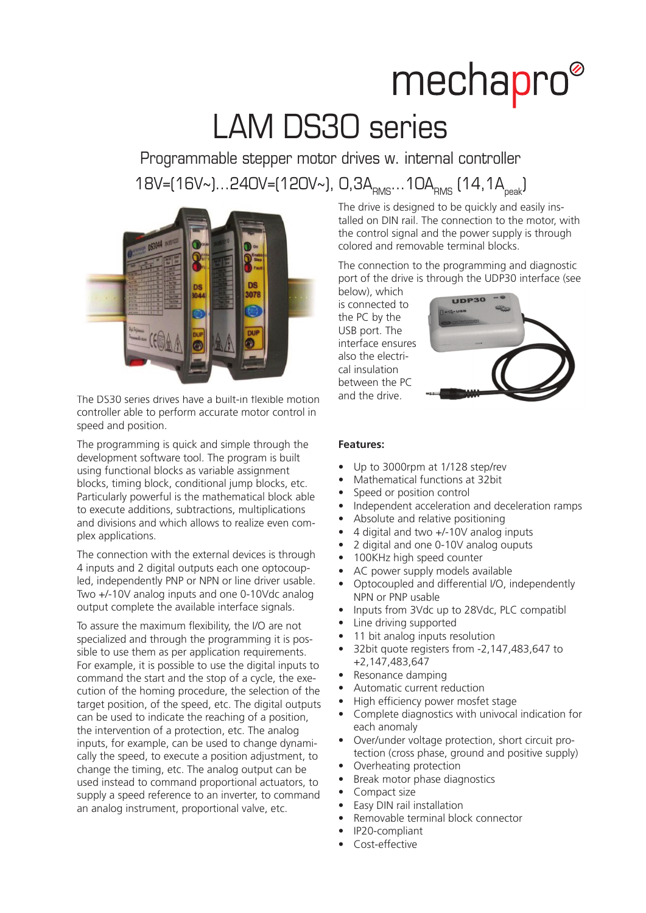## mechapro® LAM DS30 series

Programmable stepper motor drives w. internal controller 18V=(16V~)...240V=(120V~), 0,3A<sub>RMS</sub>...10A<sub>RMS</sub> (14,1A<sub>peak</sub>)



The DS30 series drives have a built-in flexible motion controller able to perform accurate motor control in speed and position.

The programming is quick and simple through the development software tool. The program is built using functional blocks as variable assignment blocks, timing block, conditional jump blocks, etc. Particularly powerful is the mathematical block able to execute additions, subtractions, multiplications and divisions and which allows to realize even complex applications.

The connection with the external devices is through 4 inputs and 2 digital outputs each one optocoupled, independently PNP or NPN or line driver usable. Two +/-10V analog inputs and one 0-10Vdc analog output complete the available interface signals.

To assure the maximum flexibility, the I/O are not specialized and through the programming it is possible to use them as per application requirements. For example, it is possible to use the digital inputs to command the start and the stop of a cycle, the execution of the homing procedure, the selection of the target position, of the speed, etc. The digital outputs can be used to indicate the reaching of a position, the intervention of a protection, etc. The analog inputs, for example, can be used to change dynamically the speed, to execute a position adjustment, to change the timing, etc. The analog output can be used instead to command proportional actuators, to supply a speed reference to an inverter, to command an analog instrument, proportional valve, etc.

The drive is designed to be quickly and easily installed on DIN rail. The connection to the motor, with the control signal and the power supply is through colored and removable terminal blocks.

The connection to the programming and diagnostic port of the drive is through the UDP30 interface (see

below), which is connected to the PC by the USB port. The interface ensures also the electrical insulation between the PC and the drive.



## **Features:**

- Up to 3000rpm at 1/128 step/rev
- Mathematical functions at 32bit
- Speed or position control
- Independent acceleration and deceleration ramps
- Absolute and relative positioning
- 4 digital and two  $+/-10V$  analog inputs
- 2 digital and one 0-10V analog ouputs
- 100KHz high speed counter
- AC power supply models available
- Optocoupled and differential I/O, independently NPN or PNP usable
- Inputs from 3Vdc up to 28Vdc, PLC compatibl
- Line driving supported
- 11 bit analog inputs resolution
- 32bit quote registers from -2,147,483,647 to +2,147,483,647
- Resonance damping
- Automatic current reduction
- High efficiency power mosfet stage
- Complete diagnostics with univocal indication for each anomaly
- Over/under voltage protection, short circuit protection (cross phase, ground and positive supply)
- Overheating protection
- Break motor phase diagnostics
- Compact size
- Easy DIN rail installation
- Removable terminal block connector
- IP20-compliant
- Cost-effective